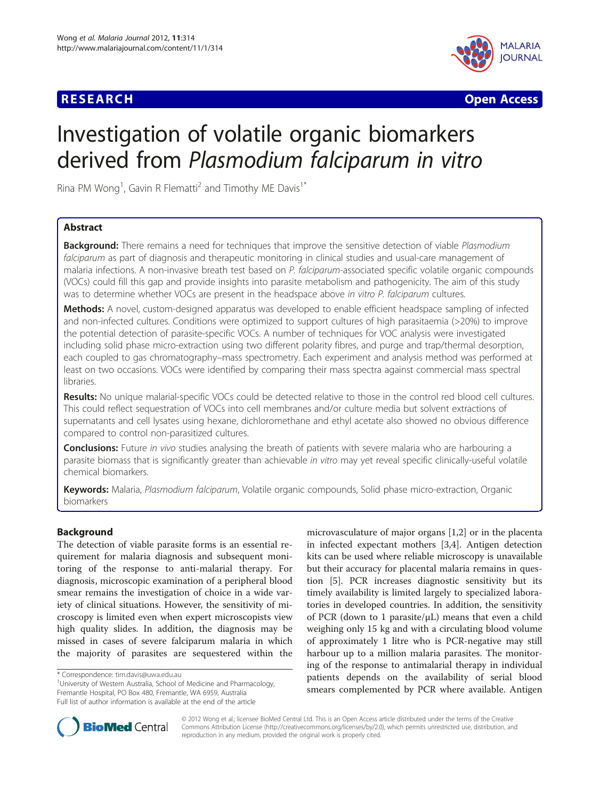## **RESEARCH CHEAR CHEAR CHEAR CHEAR CHEAR CHEAR CHEAR CHEAR CHEAR CHEAR CHEAR CHEAR CHEAR CHEAR CHEAR CHEAR CHEAR**



# Investigation of volatile organic biomarkers derived from Plasmodium falciparum in vitro

Rina PM Wong<sup>1</sup>, Gavin R Flematti<sup>2</sup> and Timothy ME Davis<sup>1\*</sup>

## Abstract

**Background:** There remains a need for techniques that improve the sensitive detection of viable Plasmodium falciparum as part of diagnosis and therapeutic monitoring in clinical studies and usual-care management of malaria infections. A non-invasive breath test based on P. falciparum-associated specific volatile organic compounds (VOCs) could fill this gap and provide insights into parasite metabolism and pathogenicity. The aim of this study was to determine whether VOCs are present in the headspace above in vitro P. falciparum cultures.

Methods: A novel, custom-designed apparatus was developed to enable efficient headspace sampling of infected and non-infected cultures. Conditions were optimized to support cultures of high parasitaemia (>20%) to improve the potential detection of parasite-specific VOCs. A number of techniques for VOC analysis were investigated including solid phase micro-extraction using two different polarity fibres, and purge and trap/thermal desorption, each coupled to gas chromatography–mass spectrometry. Each experiment and analysis method was performed at least on two occasions. VOCs were identified by comparing their mass spectra against commercial mass spectral libraries.

Results: No unique malarial-specific VOCs could be detected relative to those in the control red blood cell cultures. This could reflect sequestration of VOCs into cell membranes and/or culture media but solvent extractions of supernatants and cell lysates using hexane, dichloromethane and ethyl acetate also showed no obvious difference compared to control non-parasitized cultures.

**Conclusions:** Future in vivo studies analysing the breath of patients with severe malaria who are harbouring a parasite biomass that is significantly greater than achievable in vitro may yet reveal specific clinically-useful volatile chemical biomarkers.

Keywords: Malaria, Plasmodium falciparum, Volatile organic compounds, Solid phase micro-extraction, Organic biomarkers

## Background

The detection of viable parasite forms is an essential requirement for malaria diagnosis and subsequent monitoring of the response to anti-malarial therapy. For diagnosis, microscopic examination of a peripheral blood smear remains the investigation of choice in a wide variety of clinical situations. However, the sensitivity of microscopy is limited even when expert microscopists view high quality slides. In addition, the diagnosis may be missed in cases of severe falciparum malaria in which the majority of parasites are sequestered within the

<sup>1</sup>University of Western Australia, School of Medicine and Pharmacology, Fremantle Hospital, PO Box 480, Fremantle, WA 6959, Australia Full list of author information is available at the end of the article

microvasculature of major organs [\[1,2](#page-6-0)] or in the placenta in infected expectant mothers [[3,4\]](#page-6-0). Antigen detection kits can be used where reliable microscopy is unavailable but their accuracy for placental malaria remains in question [\[5](#page-6-0)]. PCR increases diagnostic sensitivity but its timely availability is limited largely to specialized laboratories in developed countries. In addition, the sensitivity of PCR (down to 1 parasite/μL) means that even a child weighing only 15 kg and with a circulating blood volume of approximately 1 litre who is PCR-negative may still harbour up to a million malaria parasites. The monitoring of the response to antimalarial therapy in individual patients depends on the availability of serial blood smears complemented by PCR where available. Antigen



© 2012 Wong et al.; licensee BioMed Central Ltd. This is an Open Access article distributed under the terms of the Creative Commons Attribution License [\(http://creativecommons.org/licenses/by/2.0\)](http://creativecommons.org/licenses/by/2.0), which permits unrestricted use, distribution, and reproduction in any medium, provided the original work is properly cited.

<sup>\*</sup> Correspondence: [tim.davis@uwa.edu.au](mailto:tim.davis@uwa.edu.au) <sup>1</sup>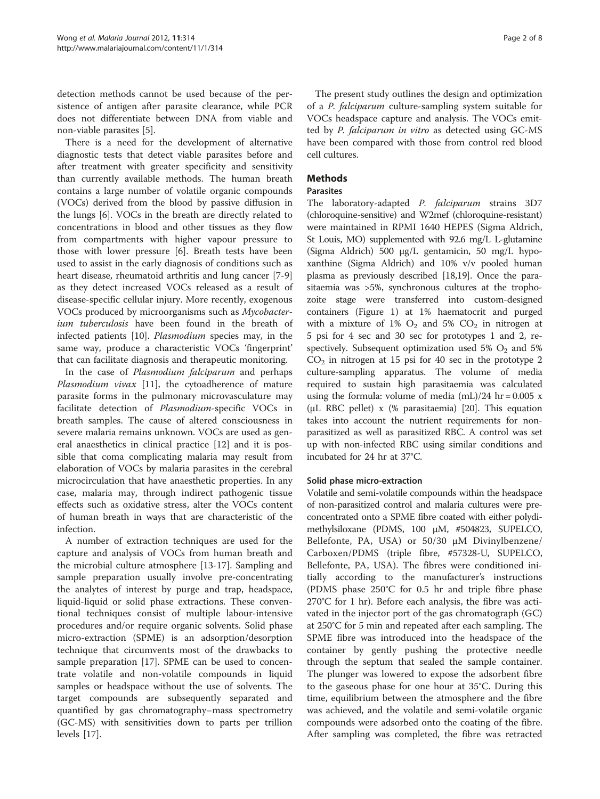detection methods cannot be used because of the persistence of antigen after parasite clearance, while PCR does not differentiate between DNA from viable and non-viable parasites [\[5](#page-6-0)].

There is a need for the development of alternative diagnostic tests that detect viable parasites before and after treatment with greater specificity and sensitivity than currently available methods. The human breath contains a large number of volatile organic compounds (VOCs) derived from the blood by passive diffusion in the lungs [[6](#page-7-0)]. VOCs in the breath are directly related to concentrations in blood and other tissues as they flow from compartments with higher vapour pressure to those with lower pressure [[6\]](#page-7-0). Breath tests have been used to assist in the early diagnosis of conditions such as heart disease, rheumatoid arthritis and lung cancer [[7-9](#page-7-0)] as they detect increased VOCs released as a result of disease-specific cellular injury. More recently, exogenous VOCs produced by microorganisms such as Mycobacterium tuberculosis have been found in the breath of infected patients [\[10](#page-7-0)]. Plasmodium species may, in the same way, produce a characteristic VOCs 'fingerprint' that can facilitate diagnosis and therapeutic monitoring.

In the case of Plasmodium falciparum and perhaps Plasmodium vivax [\[11\]](#page-7-0), the cytoadherence of mature parasite forms in the pulmonary microvasculature may facilitate detection of Plasmodium-specific VOCs in breath samples. The cause of altered consciousness in severe malaria remains unknown. VOCs are used as general anaesthetics in clinical practice [\[12\]](#page-7-0) and it is possible that coma complicating malaria may result from elaboration of VOCs by malaria parasites in the cerebral microcirculation that have anaesthetic properties. In any case, malaria may, through indirect pathogenic tissue effects such as oxidative stress, alter the VOCs content of human breath in ways that are characteristic of the infection.

A number of extraction techniques are used for the capture and analysis of VOCs from human breath and the microbial culture atmosphere [[13-17](#page-7-0)]. Sampling and sample preparation usually involve pre-concentrating the analytes of interest by purge and trap, headspace, liquid-liquid or solid phase extractions. These conventional techniques consist of multiple labour-intensive procedures and/or require organic solvents. Solid phase micro-extraction (SPME) is an adsorption/desorption technique that circumvents most of the drawbacks to sample preparation [\[17](#page-7-0)]. SPME can be used to concentrate volatile and non-volatile compounds in liquid samples or headspace without the use of solvents. The target compounds are subsequently separated and quantified by gas chromatography–mass spectrometry (GC-MS) with sensitivities down to parts per trillion levels [[17](#page-7-0)].

The present study outlines the design and optimization of a P. falciparum culture-sampling system suitable for VOCs headspace capture and analysis. The VOCs emitted by P. falciparum in vitro as detected using GC-MS have been compared with those from control red blood cell cultures.

## **Methods**

## Parasites

The laboratory-adapted P. falciparum strains 3D7 (chloroquine-sensitive) and W2mef (chloroquine-resistant) were maintained in RPMI 1640 HEPES (Sigma Aldrich, St Louis, MO) supplemented with 92.6 mg/L L-glutamine (Sigma Aldrich) 500 μg/L gentamicin, 50 mg/L hypoxanthine (Sigma Aldrich) and 10% v/v pooled human plasma as previously described [\[18,19\]](#page-7-0). Once the parasitaemia was >5%, synchronous cultures at the trophozoite stage were transferred into custom-designed containers (Figure [1\)](#page-2-0) at 1% haematocrit and purged with a mixture of 1%  $O_2$  and 5%  $CO_2$  in nitrogen at 5 psi for 4 sec and 30 sec for prototypes 1 and 2, respectively. Subsequent optimization used 5%  $O_2$  and 5%  $CO<sub>2</sub>$  in nitrogen at 15 psi for 40 sec in the prototype 2 culture-sampling apparatus. The volume of media required to sustain high parasitaemia was calculated using the formula: volume of media  $(mL)/24$  hr = 0.005 x (μL RBC pellet) x (% parasitaemia) [\[20](#page-7-0)]. This equation takes into account the nutrient requirements for nonparasitized as well as parasitized RBC. A control was set up with non-infected RBC using similar conditions and incubated for 24 hr at 37°C.

## Solid phase micro-extraction

Volatile and semi-volatile compounds within the headspace of non-parasitized control and malaria cultures were preconcentrated onto a SPME fibre coated with either polydimethylsiloxane (PDMS, 100 μM, #504823, SUPELCO, Bellefonte, PA, USA) or 50/30 μM Divinylbenzene/ Carboxen/PDMS (triple fibre, #57328-U, SUPELCO, Bellefonte, PA, USA). The fibres were conditioned initially according to the manufacturer's instructions (PDMS phase 250°C for 0.5 hr and triple fibre phase 270°C for 1 hr). Before each analysis, the fibre was activated in the injector port of the gas chromatograph (GC) at 250°C for 5 min and repeated after each sampling. The SPME fibre was introduced into the headspace of the container by gently pushing the protective needle through the septum that sealed the sample container. The plunger was lowered to expose the adsorbent fibre to the gaseous phase for one hour at 35°C. During this time, equilibrium between the atmosphere and the fibre was achieved, and the volatile and semi-volatile organic compounds were adsorbed onto the coating of the fibre. After sampling was completed, the fibre was retracted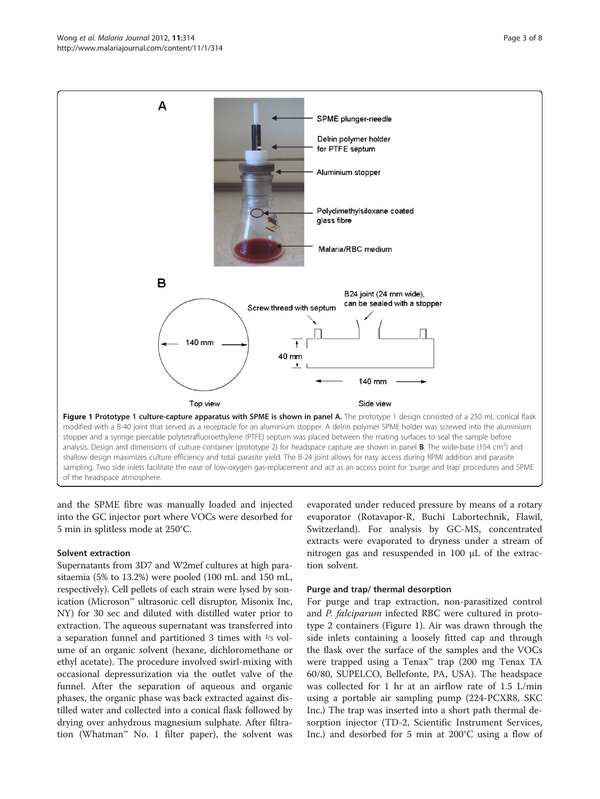<span id="page-2-0"></span>

and the SPME fibre was manually loaded and injected into the GC injector port where VOCs were desorbed for 5 min in splitless mode at 250°C.

#### Solvent extraction

Supernatants from 3D7 and W2mef cultures at high parasitaemia (5% to 13.2%) were pooled (100 mL and 150 mL, respectively). Cell pellets of each strain were lysed by sonication (Microson™ ultrasonic cell disruptor, Misonix Inc, NY) for 30 sec and diluted with distilled water prior to extraction. The aqueous supernatant was transferred into a separation funnel and partitioned 3 times with 1/3 volume of an organic solvent (hexane, dichloromethane or ethyl acetate). The procedure involved swirl-mixing with occasional depressurization via the outlet valve of the funnel. After the separation of aqueous and organic phases, the organic phase was back extracted against distilled water and collected into a conical flask followed by drying over anhydrous magnesium sulphate. After filtration (Whatman™ No. 1 filter paper), the solvent was

evaporated under reduced pressure by means of a rotary evaporator (Rotavapor-R, Buchi Labortechnik, Flawil, Switzerland). For analysis by GC-MS, concentrated extracts were evaporated to dryness under a stream of nitrogen gas and resuspended in 100 μL of the extraction solvent.

#### Purge and trap/ thermal desorption

For purge and trap extraction, non-parasitized control and *P. falciparum* infected RBC were cultured in prototype 2 containers (Figure 1). Air was drawn through the side inlets containing a loosely fitted cap and through the flask over the surface of the samples and the VOCs were trapped using a Tenax™ trap (200 mg Tenax TA 60/80, SUPELCO, Bellefonte, PA, USA). The headspace was collected for 1 hr at an airflow rate of 1.5 L/min using a portable air sampling pump (224-PCXR8, SKC Inc.) The trap was inserted into a short path thermal desorption injector (TD-2, Scientific Instrument Services, Inc.) and desorbed for 5 min at 200°C using a flow of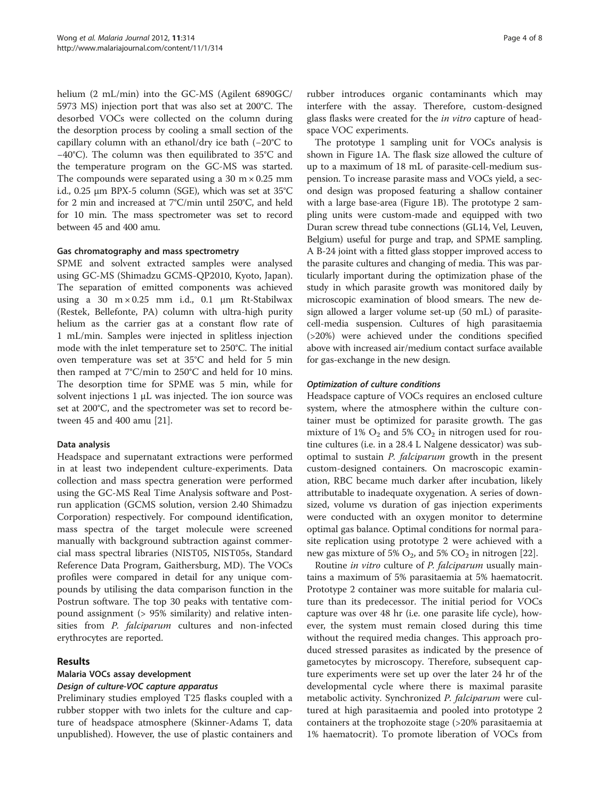helium (2 mL/min) into the GC-MS (Agilent 6890GC/ 5973 MS) injection port that was also set at 200°C. The desorbed VOCs were collected on the column during the desorption process by cooling a small section of the capillary column with an ethanol/dry ice bath (−20°C to −40°C). The column was then equilibrated to 35°C and the temperature program on the GC-MS was started. The compounds were separated using a  $30 \text{ m} \times 0.25 \text{ mm}$ i.d., 0.25 μm BPX-5 column (SGE), which was set at 35°C for 2 min and increased at 7°C/min until 250°C, and held for 10 min. The mass spectrometer was set to record between 45 and 400 amu.

#### Gas chromatography and mass spectrometry

SPME and solvent extracted samples were analysed using GC-MS (Shimadzu GCMS-QP2010, Kyoto, Japan). The separation of emitted components was achieved using a 30  $m \times 0.25$  mm i.d., 0.1  $\mu$ m Rt-Stabilwax (Restek, Bellefonte, PA) column with ultra-high purity helium as the carrier gas at a constant flow rate of 1 mL/min. Samples were injected in splitless injection mode with the inlet temperature set to 250°C. The initial oven temperature was set at 35°C and held for 5 min then ramped at 7°C/min to 250°C and held for 10 mins. The desorption time for SPME was 5 min, while for solvent injections 1 μL was injected. The ion source was set at 200°C, and the spectrometer was set to record between 45 and 400 amu [\[21](#page-7-0)].

#### Data analysis

Headspace and supernatant extractions were performed in at least two independent culture-experiments. Data collection and mass spectra generation were performed using the GC-MS Real Time Analysis software and Postrun application (GCMS solution, version 2.40 Shimadzu Corporation) respectively. For compound identification, mass spectra of the target molecule were screened manually with background subtraction against commercial mass spectral libraries (NIST05, NIST05s, Standard Reference Data Program, Gaithersburg, MD). The VOCs profiles were compared in detail for any unique compounds by utilising the data comparison function in the Postrun software. The top 30 peaks with tentative compound assignment (> 95% similarity) and relative intensities from *P. falciparum* cultures and non-infected erythrocytes are reported.

#### Results

#### Malaria VOCs assay development

#### Design of culture-VOC capture apparatus

Preliminary studies employed T25 flasks coupled with a rubber stopper with two inlets for the culture and capture of headspace atmosphere (Skinner-Adams T, data unpublished). However, the use of plastic containers and

rubber introduces organic contaminants which may interfere with the assay. Therefore, custom-designed glass flasks were created for the *in vitro* capture of headspace VOC experiments.

The prototype 1 sampling unit for VOCs analysis is shown in Figure [1A](#page-2-0). The flask size allowed the culture of up to a maximum of 18 mL of parasite-cell-medium suspension. To increase parasite mass and VOCs yield, a second design was proposed featuring a shallow container with a large base-area (Figure [1B](#page-2-0)). The prototype 2 sampling units were custom-made and equipped with two Duran screw thread tube connections (GL14, Vel, Leuven, Belgium) useful for purge and trap, and SPME sampling. A B-24 joint with a fitted glass stopper improved access to the parasite cultures and changing of media. This was particularly important during the optimization phase of the study in which parasite growth was monitored daily by microscopic examination of blood smears. The new design allowed a larger volume set-up (50 mL) of parasitecell-media suspension. Cultures of high parasitaemia (>20%) were achieved under the conditions specified above with increased air/medium contact surface available for gas-exchange in the new design.

#### Optimization of culture conditions

Headspace capture of VOCs requires an enclosed culture system, where the atmosphere within the culture container must be optimized for parasite growth. The gas mixture of 1%  $O_2$  and 5%  $CO_2$  in nitrogen used for routine cultures (i.e. in a 28.4 L Nalgene dessicator) was suboptimal to sustain P. falciparum growth in the present custom-designed containers. On macroscopic examination, RBC became much darker after incubation, likely attributable to inadequate oxygenation. A series of downsized, volume vs duration of gas injection experiments were conducted with an oxygen monitor to determine optimal gas balance. Optimal conditions for normal parasite replication using prototype 2 were achieved with a new gas mixture of 5%  $O_2$ , and 5%  $CO_2$  in nitrogen [\[22](#page-7-0)].

Routine *in vitro* culture of *P. falciparum* usually maintains a maximum of 5% parasitaemia at 5% haematocrit. Prototype 2 container was more suitable for malaria culture than its predecessor. The initial period for VOCs capture was over 48 hr (i.e. one parasite life cycle), however, the system must remain closed during this time without the required media changes. This approach produced stressed parasites as indicated by the presence of gametocytes by microscopy. Therefore, subsequent capture experiments were set up over the later 24 hr of the developmental cycle where there is maximal parasite metabolic activity. Synchronized P. falciparum were cultured at high parasitaemia and pooled into prototype 2 containers at the trophozoite stage (>20% parasitaemia at 1% haematocrit). To promote liberation of VOCs from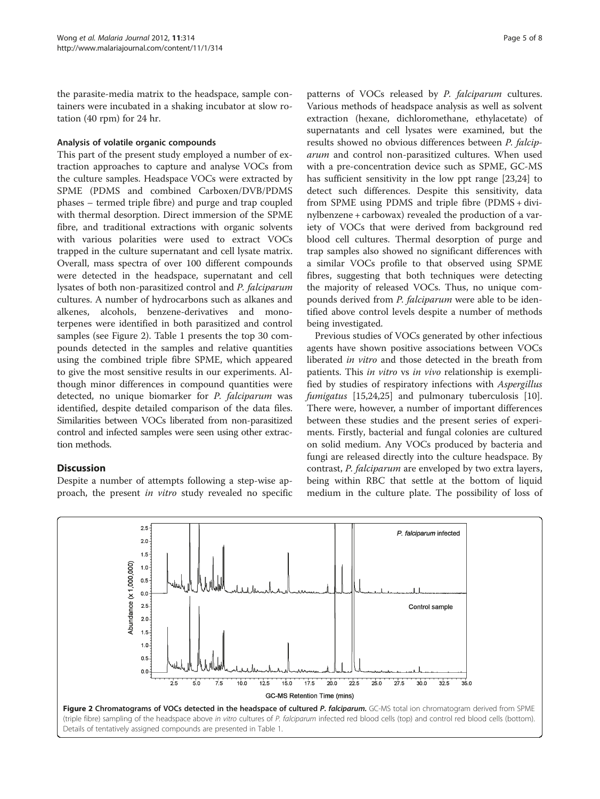<span id="page-4-0"></span>the parasite-media matrix to the headspace, sample containers were incubated in a shaking incubator at slow rotation (40 rpm) for 24 hr.

### Analysis of volatile organic compounds

This part of the present study employed a number of extraction approaches to capture and analyse VOCs from the culture samples. Headspace VOCs were extracted by SPME (PDMS and combined Carboxen/DVB/PDMS phases – termed triple fibre) and purge and trap coupled with thermal desorption. Direct immersion of the SPME fibre, and traditional extractions with organic solvents with various polarities were used to extract VOCs trapped in the culture supernatant and cell lysate matrix. Overall, mass spectra of over 100 different compounds were detected in the headspace, supernatant and cell lysates of both non-parasitized control and P. falciparum cultures. A number of hydrocarbons such as alkanes and alkenes, alcohols, benzene-derivatives and monoterpenes were identified in both parasitized and control samples (see Figure 2). Table [1](#page-5-0) presents the top 30 compounds detected in the samples and relative quantities using the combined triple fibre SPME, which appeared to give the most sensitive results in our experiments. Although minor differences in compound quantities were detected, no unique biomarker for P. falciparum was identified, despite detailed comparison of the data files. Similarities between VOCs liberated from non-parasitized control and infected samples were seen using other extraction methods.

## **Discussion**

Despite a number of attempts following a step-wise approach, the present in vitro study revealed no specific

patterns of VOCs released by P. falciparum cultures. Various methods of headspace analysis as well as solvent extraction (hexane, dichloromethane, ethylacetate) of supernatants and cell lysates were examined, but the results showed no obvious differences between P. falciparum and control non-parasitized cultures. When used with a pre-concentration device such as SPME, GC-MS has sufficient sensitivity in the low ppt range [[23,24](#page-7-0)] to detect such differences. Despite this sensitivity, data from SPME using PDMS and triple fibre (PDMS + divinylbenzene + carbowax) revealed the production of a variety of VOCs that were derived from background red blood cell cultures. Thermal desorption of purge and trap samples also showed no significant differences with a similar VOCs profile to that observed using SPME fibres, suggesting that both techniques were detecting the majority of released VOCs. Thus, no unique compounds derived from P. falciparum were able to be identified above control levels despite a number of methods being investigated.

Previous studies of VOCs generated by other infectious agents have shown positive associations between VOCs liberated in vitro and those detected in the breath from patients. This in vitro vs in vivo relationship is exemplified by studies of respiratory infections with Aspergillus fumigatus [\[15,24,25](#page-7-0)] and pulmonary tuberculosis [\[10](#page-7-0)]. There were, however, a number of important differences between these studies and the present series of experiments. Firstly, bacterial and fungal colonies are cultured on solid medium. Any VOCs produced by bacteria and fungi are released directly into the culture headspace. By contrast, P. falciparum are enveloped by two extra layers, being within RBC that settle at the bottom of liquid medium in the culture plate. The possibility of loss of

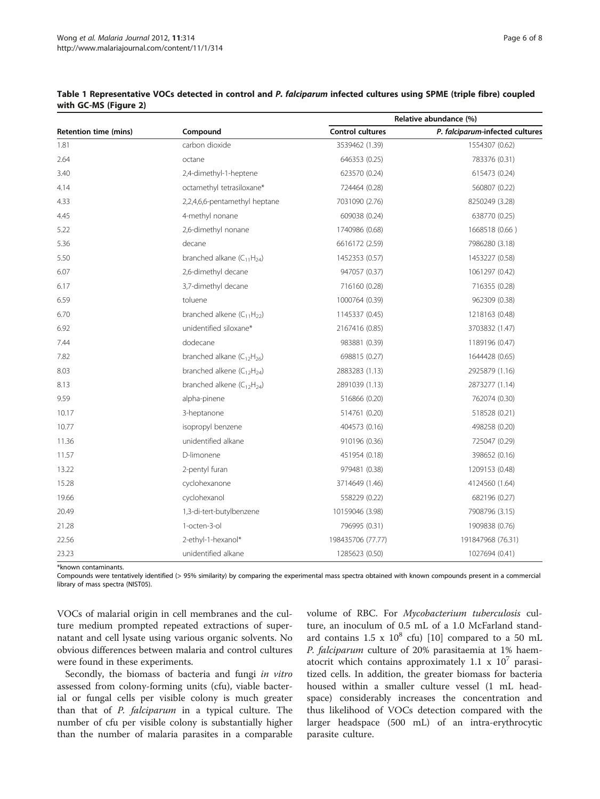| Retention time (mins) | Compound                         | Relative abundance (%)  |                                 |
|-----------------------|----------------------------------|-------------------------|---------------------------------|
|                       |                                  | <b>Control cultures</b> | P. falciparum-infected cultures |
| 1.81                  | carbon dioxide                   | 3539462 (1.39)          | 1554307 (0.62)                  |
| 2.64                  | octane                           | 646353 (0.25)           | 783376 (0.31)                   |
| 3.40                  | 2,4-dimethyl-1-heptene           | 623570 (0.24)           | 615473 (0.24)                   |
| 4.14                  | octamethyl tetrasiloxane*        | 724464 (0.28)           | 560807 (0.22)                   |
| 4.33                  | 2,2,4,6,6-pentamethyl heptane    | 7031090 (2.76)          | 8250249 (3.28)                  |
| 4.45                  | 4-methyl nonane                  | 609038 (0.24)           | 638770 (0.25)                   |
| 5.22                  | 2,6-dimethyl nonane              | 1740986 (0.68)          | 1668518 (0.66)                  |
| 5.36                  | decane                           | 6616172 (2.59)          | 7986280 (3.18)                  |
| 5.50                  | branched alkane $(C_{11}H_{24})$ | 1452353 (0.57)          | 1453227 (0.58)                  |
| 6.07                  | 2,6-dimethyl decane              | 947057 (0.37)           | 1061297 (0.42)                  |
| 6.17                  | 3,7-dimethyl decane              | 716160 (0.28)           | 716355 (0.28)                   |
| 6.59                  | toluene                          | 1000764 (0.39)          | 962309 (0.38)                   |
| 6.70                  | branched alkene $(C_{11}H_{22})$ | 1145337 (0.45)          | 1218163 (0.48)                  |
| 6.92                  | unidentified siloxane*           | 2167416 (0.85)          | 3703832 (1.47)                  |
| 7.44                  | dodecane                         | 983881 (0.39)           | 1189196 (0.47)                  |
| 7.82                  | branched alkane $(C_{12}H_{26})$ | 698815 (0.27)           | 1644428 (0.65)                  |
| 8.03                  | branched alkene $(C_{12}H_{24})$ | 2883283 (1.13)          | 2925879 (1.16)                  |
| 8.13                  | branched alkene $(C_{12}H_{24})$ | 2891039 (1.13)          | 2873277 (1.14)                  |
| 9.59                  | alpha-pinene                     | 516866 (0.20)           | 762074 (0.30)                   |
| 10.17                 | 3-heptanone                      | 514761 (0.20)           | 518528 (0.21)                   |
| 10.77                 | isopropyl benzene                | 404573 (0.16)           | 498258 (0.20)                   |
| 11.36                 | unidentified alkane              | 910196 (0.36)           | 725047 (0.29)                   |
| 11.57                 | D-limonene                       | 451954 (0.18)           | 398652 (0.16)                   |
| 13.22                 | 2-pentyl furan                   | 979481 (0.38)           | 1209153 (0.48)                  |
| 15.28                 | cyclohexanone                    | 3714649 (1.46)          | 4124560 (1.64)                  |
| 19.66                 | cyclohexanol                     | 558229 (0.22)           | 682196 (0.27)                   |
| 20.49                 | 1,3-di-tert-butylbenzene         | 10159046 (3.98)         | 7908796 (3.15)                  |
| 21.28                 | 1-octen-3-ol                     | 796995 (0.31)           | 1909838 (0.76)                  |
| 22.56                 | 2-ethyl-1-hexanol*               | 198435706 (77.77)       | 191847968 (76.31)               |
| 23.23                 | unidentified alkane              | 1285623 (0.50)          | 1027694 (0.41)                  |

## <span id="page-5-0"></span>Table 1 Representative VOCs detected in control and P. falciparum infected cultures using SPME (triple fibre) coupled with GC-MS (Figure [2](#page-4-0))

\*known contaminants.

Compounds were tentatively identified (> 95% similarity) by comparing the experimental mass spectra obtained with known compounds present in a commercial library of mass spectra (NIST05).

VOCs of malarial origin in cell membranes and the culture medium prompted repeated extractions of supernatant and cell lysate using various organic solvents. No obvious differences between malaria and control cultures were found in these experiments.

Secondly, the biomass of bacteria and fungi in vitro assessed from colony-forming units (cfu), viable bacterial or fungal cells per visible colony is much greater than that of P. falciparum in a typical culture. The number of cfu per visible colony is substantially higher than the number of malaria parasites in a comparable volume of RBC. For Mycobacterium tuberculosis culture, an inoculum of 0.5 mL of a 1.0 McFarland standard contains  $1.5 \times 10^8$  cfu) [\[10](#page-7-0)] compared to a 50 mL P. falciparum culture of 20% parasitaemia at 1% haematocrit which contains approximately 1.1 x  $10^7$  parasitized cells. In addition, the greater biomass for bacteria housed within a smaller culture vessel (1 mL headspace) considerably increases the concentration and thus likelihood of VOCs detection compared with the larger headspace (500 mL) of an intra-erythrocytic parasite culture.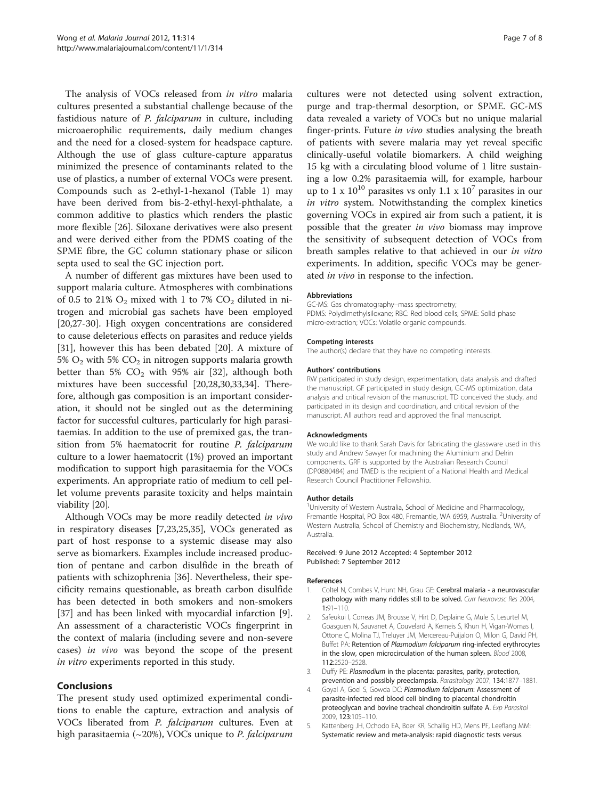<span id="page-6-0"></span>The analysis of VOCs released from in vitro malaria cultures presented a substantial challenge because of the fastidious nature of P. falciparum in culture, including microaerophilic requirements, daily medium changes and the need for a closed-system for headspace capture. Although the use of glass culture-capture apparatus minimized the presence of contaminants related to the use of plastics, a number of external VOCs were present. Compounds such as 2-ethyl-1-hexanol (Table [1\)](#page-5-0) may have been derived from bis-2-ethyl-hexyl-phthalate, a common additive to plastics which renders the plastic more flexible [[26\]](#page-7-0). Siloxane derivatives were also present and were derived either from the PDMS coating of the SPME fibre, the GC column stationary phase or silicon septa used to seal the GC injection port.

A number of different gas mixtures have been used to support malaria culture. Atmospheres with combinations of 0.5 to 21%  $O_2$  mixed with 1 to 7%  $CO_2$  diluted in nitrogen and microbial gas sachets have been employed [[20,27-30\]](#page-7-0). High oxygen concentrations are considered to cause deleterious effects on parasites and reduce yields [[31\]](#page-7-0), however this has been debated [\[20](#page-7-0)]. A mixture of 5%  $O_2$  with 5%  $CO_2$  in nitrogen supports malaria growth better than 5%  $CO<sub>2</sub>$  with 95% air [\[32\]](#page-7-0), although both mixtures have been successful [[20](#page-7-0),[28](#page-7-0),[30](#page-7-0),[33,34](#page-7-0)]. Therefore, although gas composition is an important consideration, it should not be singled out as the determining factor for successful cultures, particularly for high parasitaemias. In addition to the use of premixed gas, the transition from 5% haematocrit for routine P. falciparum culture to a lower haematocrit (1%) proved an important modification to support high parasitaemia for the VOCs experiments. An appropriate ratio of medium to cell pellet volume prevents parasite toxicity and helps maintain viability [\[20](#page-7-0)].

Although VOCs may be more readily detected in vivo in respiratory diseases [\[7,23,25,35\]](#page-7-0), VOCs generated as part of host response to a systemic disease may also serve as biomarkers. Examples include increased production of pentane and carbon disulfide in the breath of patients with schizophrenia [[36\]](#page-7-0). Nevertheless, their specificity remains questionable, as breath carbon disulfide has been detected in both smokers and non-smokers [[37\]](#page-7-0) and has been linked with myocardial infarction [\[9](#page-7-0)]. An assessment of a characteristic VOCs fingerprint in the context of malaria (including severe and non-severe cases) in vivo was beyond the scope of the present in vitro experiments reported in this study.

#### Conclusions

The present study used optimized experimental conditions to enable the capture, extraction and analysis of VOCs liberated from P. falciparum cultures. Even at high parasitaemia ( $\sim$ 20%), VOCs unique to *P. falciparum*  cultures were not detected using solvent extraction, purge and trap-thermal desorption, or SPME. GC-MS data revealed a variety of VOCs but no unique malarial finger-prints. Future in vivo studies analysing the breath of patients with severe malaria may yet reveal specific clinically-useful volatile biomarkers. A child weighing 15 kg with a circulating blood volume of 1 litre sustaining a low 0.2% parasitaemia will, for example, harbour up to 1 x  $10^{10}$  parasites vs only 1.1 x  $10^7$  parasites in our in vitro system. Notwithstanding the complex kinetics governing VOCs in expired air from such a patient, it is possible that the greater in vivo biomass may improve the sensitivity of subsequent detection of VOCs from breath samples relative to that achieved in our in vitro experiments. In addition, specific VOCs may be generated in vivo in response to the infection.

#### Abbreviations

GC-MS: Gas chromatography–mass spectrometry; PDMS: Polydimethylsiloxane; RBC: Red blood cells; SPME: Solid phase micro-extraction; VOCs: Volatile organic compounds.

#### Competing interests

The author(s) declare that they have no competing interests.

#### Authors' contributions

RW participated in study design, experimentation, data analysis and drafted the manuscript. GF participated in study design, GC-MS optimization, data analysis and critical revision of the manuscript. TD conceived the study, and participated in its design and coordination, and critical revision of the manuscript. All authors read and approved the final manuscript.

#### Acknowledgments

We would like to thank Sarah Davis for fabricating the glassware used in this study and Andrew Sawyer for machining the Aluminium and Delrin components. GRF is supported by the Australian Research Council (DP0880484) and TMED is the recipient of a National Health and Medical Research Council Practitioner Fellowship.

#### Author details

<sup>1</sup>University of Western Australia, School of Medicine and Pharmacology Fremantle Hospital, PO Box 480, Fremantle, WA 6959, Australia. <sup>2</sup>University of Western Australia, School of Chemistry and Biochemistry, Nedlands, WA, Australia.

#### Received: 9 June 2012 Accepted: 4 September 2012 Published: 7 September 2012

#### References

- 1. Coltel N, Combes V, Hunt NH, Grau GE: Cerebral malaria a neurovascular pathology with many riddles still to be solved. Curr Neurovasc Res 2004, 1:91–110.
- 2. Safeukui I, Correas JM, Brousse V, Hirt D, Deplaine G, Mule S, Lesurtel M, Goasguen N, Sauvanet A, Couvelard A, Kerneis S, Khun H, Vigan-Womas I, Ottone C, Molina TJ, Treluyer JM, Mercereau-Puijalon O, Milon G, David PH, Buffet PA: Retention of Plasmodium falciparum ring-infected erythrocytes in the slow, open microcirculation of the human spleen. Blood 2008, 112:2520–2528.
- 3. Duffy PE: Plasmodium in the placenta: parasites, parity, protection, prevention and possibly preeclampsia. Parasitology 2007, 134:1877-1881.
- 4. Goyal A, Goel S, Gowda DC: Plasmodium falciparum: Assessment of parasite-infected red blood cell binding to placental chondroitin proteoglycan and bovine tracheal chondroitin sulfate A. Exp Parasitol 2009, 123:105–110.
- 5. Kattenberg JH, Ochodo EA, Boer KR, Schallig HD, Mens PF, Leeflang MM: Systematic review and meta-analysis: rapid diagnostic tests versus